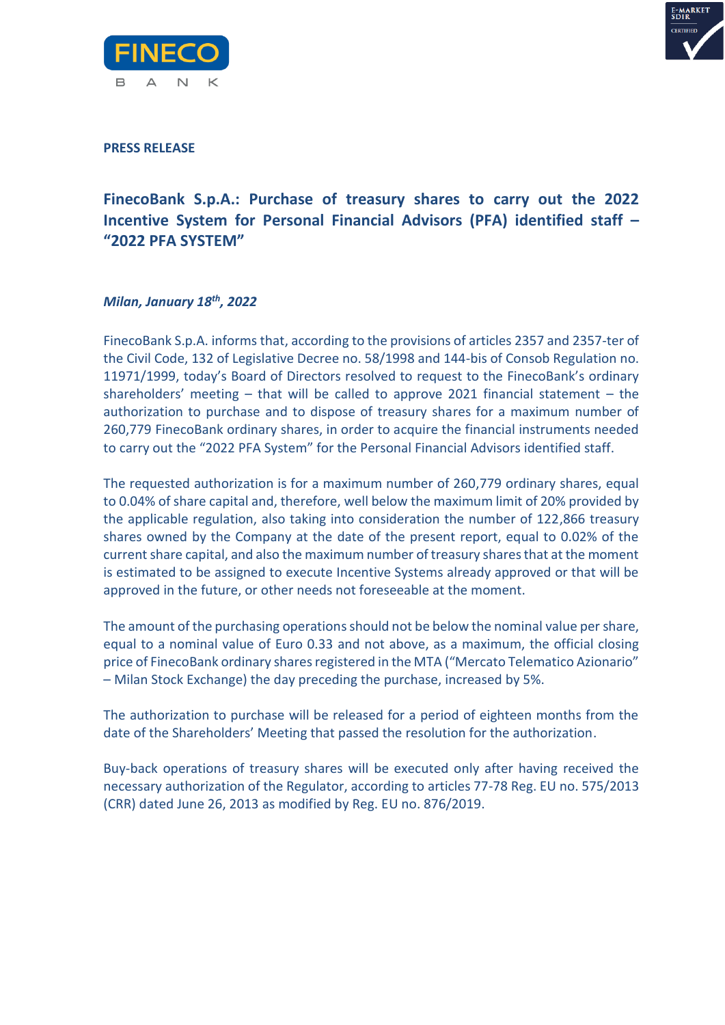



**PRESS RELEASE**

## **FinecoBank S.p.A.: Purchase of treasury shares to carry out the 2022 Incentive System for Personal Financial Advisors (PFA) identified staff – "2022 PFA SYSTEM"**

## *Milan, January 18th , 2022*

FinecoBank S.p.A. informs that, according to the provisions of articles 2357 and 2357-ter of the Civil Code, 132 of Legislative Decree no. 58/1998 and 144-bis of Consob Regulation no. 11971/1999, today's Board of Directors resolved to request to the FinecoBank's ordinary shareholders' meeting – that will be called to approve 2021 financial statement – the authorization to purchase and to dispose of treasury shares for a maximum number of 260,779 FinecoBank ordinary shares, in order to acquire the financial instruments needed to carry out the "2022 PFA System" for the Personal Financial Advisors identified staff.

The requested authorization is for a maximum number of 260,779 ordinary shares, equal to 0.04% of share capital and, therefore, well below the maximum limit of 20% provided by the applicable regulation, also taking into consideration the number of 122,866 treasury shares owned by the Company at the date of the present report, equal to 0.02% of the current share capital, and also the maximum number of treasury shares that at the moment is estimated to be assigned to execute Incentive Systems already approved or that will be approved in the future, or other needs not foreseeable at the moment.

The amount of the purchasing operations should not be below the nominal value per share, equal to a nominal value of Euro 0.33 and not above, as a maximum, the official closing price of FinecoBank ordinary shares registered in the MTA ("Mercato Telematico Azionario" – Milan Stock Exchange) the day preceding the purchase, increased by 5%.

The authorization to purchase will be released for a period of eighteen months from the date of the Shareholders' Meeting that passed the resolution for the authorization.

Buy-back operations of treasury shares will be executed only after having received the necessary authorization of the Regulator, according to articles 77-78 Reg. EU no. 575/2013 (CRR) dated June 26, 2013 as modified by Reg. EU no. 876/2019.